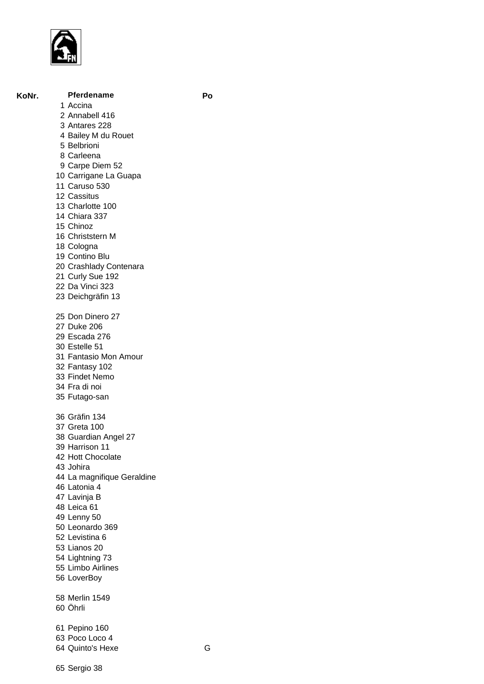

## **KoNr. Pferdename Po**

## Accina Annabell 416

- Antares 228
- Bailey M du Rouet
- Belbrioni
- Carleena
- Carpe Diem 52
- Carrigane La Guapa
- Caruso 530
- Cassitus
- Charlotte 100
- Chiara 337
- Chinoz
- Christstern M
- Cologna
- Contino Blu
- Crashlady Contenara
- Curly Sue 192
- Da Vinci 323
- Deichgräfin 13

 Don Dinero 27 Duke 206 Escada 276 Estelle 51 Fantasio Mon Amour Fantasy 102 Findet Nemo Fra di noi Futago-san Gräfin 134 Greta 100 Guardian Angel 27 Harrison 11 Hott Chocolate Johira La magnifique Geraldine Latonia 4 Lavinja B Leica 61 Lenny 50 Leonardo 369 Levistina 6 Lianos 20 Lightning 73 Limbo Airlines LoverBoy Merlin 1549 Öhrli Pepino 160 Poco Loco 4 Quinto's Hexe G